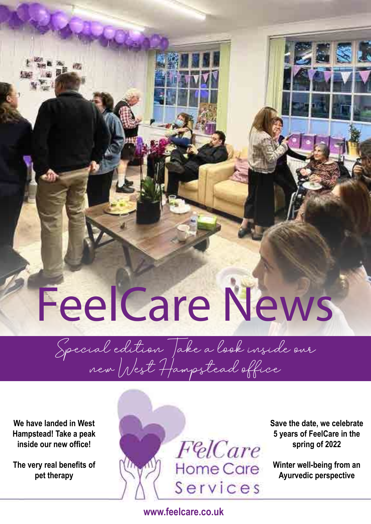## FeelCare News

Special edition Take a look inside our new West Hampstead office

**We have landed in West Hampstead! Take a peak inside our new office!** 

**The very real benefits of pet therapy** 



**Save the date, we celebrate 5 years of FeelCare in the spring of 2022** 

**Winter well-being from an Ayurvedic perspective**

**www.feelcare.co.uk**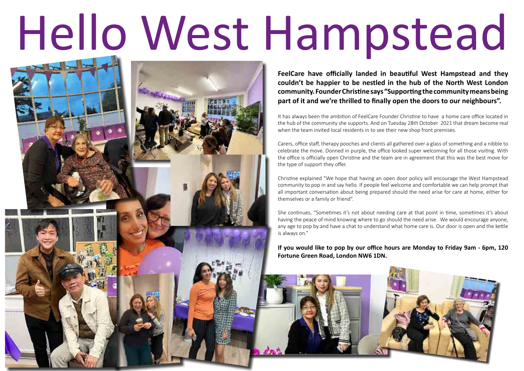# Hello West Hampstead

**FeelCare have officially landed in beautiful West Hampstead and they couldn't be happier to be nestled in the hub of the North West London community. Founder Christine says "Supporting the community means being part of it and we're thrilled to finally open the doors to our neighbours".** 

It has always been the ambition of FeelCare Founder Christine to have a home care office located in the hub of the community she supports. And on Tuesday 28th October 2021 that dream become real when the team invited local residents in to see their new shop front premises.

Carers, office staff, therapy pooches and clients all gathered over a glass of something and a nibble to celebrate the move. Donned in purple, the office looked super welcoming for all those visiting. With the office is officially open Christine and the team are in agreement that this was the best move for the type of support they offer.

Christine explained "We hope that having an open door policy will encourage the West Hampstead community to pop in and say hello. If people feel welcome and comfortable we can help prompt that all important conversation about being prepared should the need arise for care at home, either for themselves or a family or friend".

She continues, "Sometimes it's not about needing care at that point in time, sometimes it's about having the peace of mind knowing where to go should the need arise. We would encourage anyone, any age to pop by and have a chat to understand what home care is. Our door is open and the kettle

is always on."

**If you would like to pop by our office hours are Monday to Friday 9am - 6pm, 120 Fortune Green Road, London NW6 1DN.** 

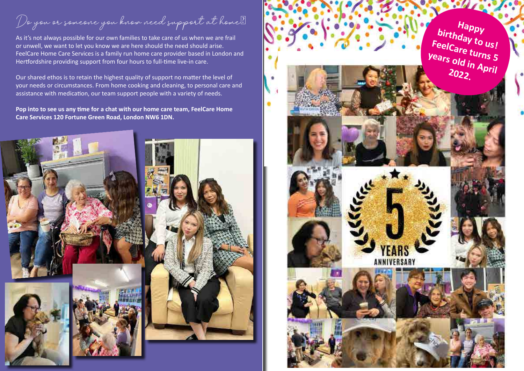Do you or someone you know need support at home?

As it's not always possible for our own families to take care of us when we are frail or unwell, we want to let you know we are here should the need should arise. FeelCare Home Care Services is a family run home care provider based in London and Hertfordshire providing support from four hours to full-time live-in care.

Our shared ethos is to retain the highest quality of support no matter the level of your needs or circumstances. From home cooking and cleaning, to personal care and assistance with medication, our team support people with a variety of needs.

**Pop into to see us any time for a chat with our home care team, FeelCare Home Care Services 120 Fortune Green Road, London NW6 1DN.** 





Happy<br>
FeelCare turns 5<br>
Years old in April<br>
2022.

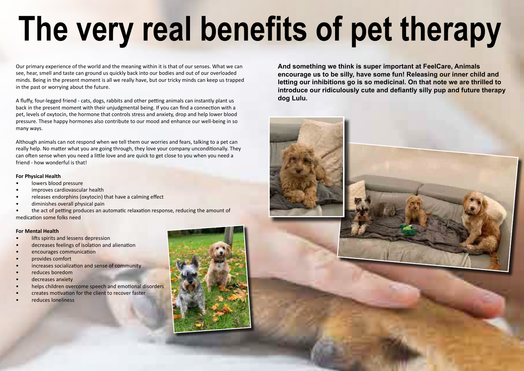# **The very real benefits of pet therapy**

Our primary experience of the world and the meaning within it is that of our senses. What we can see, hear, smell and taste can ground us quickly back into our bodies and out of our overloaded minds. Being in the present moment is all we really have, but our tricky minds can keep us trapped in the past or worrying about the future.

A fluffy, four-legged friend - cats, dogs, rabbits and other petting animals can instantly plant us back in the present moment with their unjudgmental being. If you can find a connection with a pet, levels of oxytocin, the hormone that controls stress and anxiety, drop and help lower blood pressure. These happy hormones also contribute to our mood and enhance our well-being in so many ways.

- lowers blood pressure
- improves cardiovascular health
- releases endorphins (oxytocin) that have a calming effect
- diminishes overall physical pain
- the act of petting produces an automatic relaxation response, reducing the amount of medication some folks need

- lifts spirits and lessens depression
- decreases feelings of isolation and alienation
- encourages communication
- provides comfort
- increases socialization and sense of community
- reduces boredom
- decreases anxiety
- helps children overcome speech and emotional disorders
- creates motivation for the client to recover faster
- reduces loneliness



Although animals can not respond when we tell them our worries and fears, talking to a pet can really help. No matter what you are going through, they love your company unconditionally. They can often sense when you need a little love and are quick to get close to you when you need a friend - how wonderful is that!

## **For Physical Health**

## **For Mental Health**

**And something we think is super important at FeelCare, Animals encourage us to be silly, have some fun! Releasing our inner child and letting our inhibitions go is so medicinal. On that note we are thrilled to introduce our ridiculously cute and defiantly silly pup and future therapy dog Lulu.**



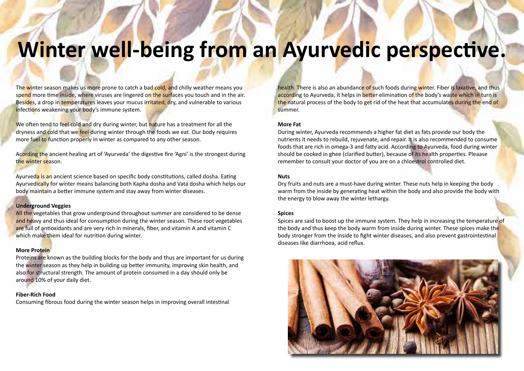## **Winter well-being from an Ayurvedic perspective.**

The winter season makes us more prone to catch a bad cold, and chilly weather means you spend more time inside, where viruses are lingered on the surfaces you touch and in the air. Besides, a drop in temperatures leaves your mucus irritated, dry, and vulnerable to various infections weakening your body's immune system.

We often tend to feel cold and dry during winter, but nature has a treatment for all the dryness and cold that we feel during winter through the foods we eat. Our body requires more fuel to function properly in winter as compared to any other season.

Ayurveda is an ancient science based on specific body constitutions, called dosha. Eating Ayurvedically for winter means balancing both Kapha dosha and Vata dosha which helps our body maintain a better immune system and stay away from winter diseases.

All the vegetables that grow underground throughout summer are considered to be dense and heavy and thus ideal for consumption during the winter season. These root vegetables are full of antioxidants and are very rich in minerals, fiber, and vitamin A and vitamin C which make them ideal for nutrition during winter.

Acording the ancient healing art of 'Ayurveda' the digestive fire 'Agni' is the strongest during the winter season.

## **Underground Veggies**

health. There is also an abundance of such foods during winter. Fiber is laxative, and thus according to Ayurveda, it helps in better elimination of the body's waste which in turn is the natural process of the body to get rid of the heat that accumulates during the end of summer.

## **More Protein**

Proteins are known as the building blocks for the body and thus are important for us during the winter season as they help in building up better immunity, improving skin health, and also for structural strength. The amount of protein consumed in a day should only be around 10% of your daily diet.

**Fiber-Rich Food** Consuming fibrous food during the winter season helps in improving overall intestinal

## **More Fat**

During winter, Ayurveda recommends a higher fat diet as fats provide our body the nutrients it needs to rebuild, rejuvenate, and repair. It is also recommended to consume foods that are rich in omega-3 and fatty acid. According to Ayurveda, food during winter should be cooked in ghee (clarified butter), because of its health properties. Pleaase remember to consult your doctor of you are on a chloestrol controlled diet.

## **Nuts**

Dry fruits and nuts are a must-have during winter. These nuts help in keeping the body warm from the inside by generating heat within the body and also provide the body with the energy to blow away the winter lethargy.

## **Spices**

Spices are said to boost up the immune system. They help in increasing the temperature of the body and thus keep the body warm from inside during winter. These spices make the body stronger from the inside to fight winter diseases, and also prevent gastrointestinal diseases like diarrhoea, acid reflux.